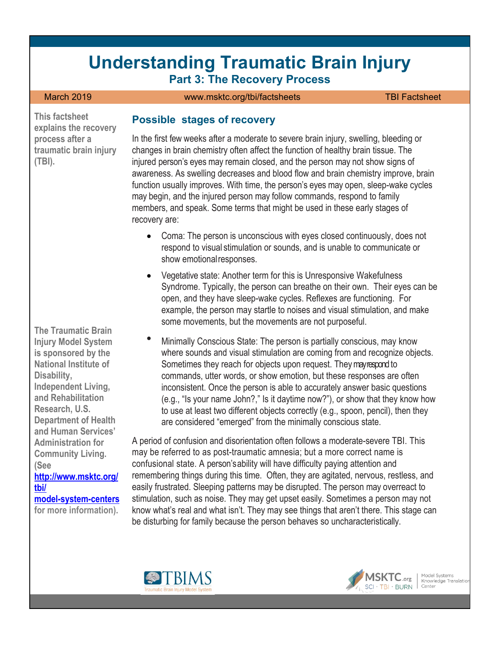# **Understanding Traumatic Brain Injury Part 3: The Recovery Process**

#### March 2019 [www.msktc.org/tbi/factsheets](https://www.msktc.org/tbi/factsheets) TBI Factsheet

**This factsheet explains the recovery process after a traumatic brain injury (TBI).**

**The Traumatic Brain Injury Model System is sponsored by the National Institute of Disability, Independent Living, and Rehabilitation Research, U.S. Department of Health and Human Services' Administration for Community Living. (See [http://www.msktc.org/](http://www.msktc.org/tbi/model-system-centers)  [tbi/](http://www.msktc.org/tbi/model-system-centers) [model-system-centers](http://www.msktc.org/tbi/model-system-centers)**

**for more information).**

#### **Possible stages of recovery**

In the first few weeks after a moderate to severe brain injury, swelling, bleeding or changes in brain chemistry often affect the function of healthy brain tissue. The injured person's eyes may remain closed, and the person may not show signs of awareness. As swelling decreases and blood flow and brain chemistry improve, brain function usually improves. With time, the person's eyes may open, sleep-wake cycles may begin, and the injured person may follow commands, respond to family members, and speak. Some terms that might be used in these early stages of recovery are:

- Coma: The person is unconscious with eyes closed continuously, does not respond to visual stimulation or sounds, and is unable to communicate or show emotionalresponses.
- Vegetative state: Another term for this is Unresponsive Wakefulness Syndrome. Typically, the person can breathe on their own. Their eyes can be open, and they have sleep-wake cycles. Reflexes are functioning. For example, the person may startle to noises and visual stimulation, and make some movements, but the movements are not purposeful.
- Minimally Conscious State: The person is partially conscious, may know where sounds and visual stimulation are coming from and recognize objects. Sometimes they reach for objects upon request. They may respond to commands, utter words, or show emotion, but these responses are often inconsistent. Once the person is able to accurately answer basic questions (e.g., "Is your name John?," Is it daytime now?"), or show that they know how to use at least two different objects correctly (e.g., spoon, pencil), then they are considered "emerged" from the minimally conscious state.

A period of confusion and disorientation often follows a moderate-severe TBI. This may be referred to as post-traumatic amnesia; but a more correct name is confusional state. A person'sability will have difficulty paying attention and remembering things during this time. Often, they are agitated, nervous, restless, and easily frustrated. Sleeping patterns may be disrupted. The person may overreact to stimulation, such as noise. They may get upset easily. Sometimes a person may not know what's real and what isn't. They may see things that aren't there. This stage can be disturbing for family because the person behaves so uncharacteristically.





Knowledge Translatic<br>Center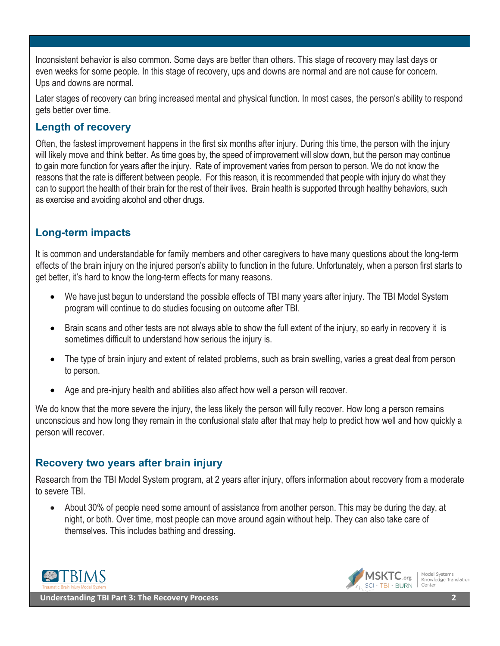Inconsistent behavior is also common. Some days are better than others. This stage of recovery may last days or even weeks for some people. In this stage of recovery, ups and downs are normal and are not cause for concern. Ups and downs are normal.

Later stages of recovery can bring increased mental and physical function. In most cases, the person's ability to respond gets better over time.

#### **Length of recovery**

Often, the fastest improvement happens in the first six months after injury. During this time, the person with the injury will likely move and think better. As time goes by, the speed of improvement will slow down, but the person may continue to gain more function for years after the injury. Rate of improvement varies from person to person. We do not know the reasons that the rate is different between people. For this reason, it is recommended that people with injury do what they can to support the health of their brain for the rest of their lives. Brain health is supported through healthy behaviors, such as exercise and avoiding alcohol and other drugs.

## **Long-term impacts**

It is common and understandable for family members and other caregivers to have many questions about the long-term effects of the brain injury on the injured person's ability to function in the future. Unfortunately, when a person first starts to get better, it's hard to know the long-term effects for many reasons.

- We have just begun to understand the possible effects of TBI many years after injury. The TBI Model System program will continue to do studies focusing on outcome after TBI.
- Brain scans and other tests are not always able to show the full extent of the injury, so early in recovery it is sometimes difficult to understand how serious the injury is.
- The type of brain injury and extent of related problems, such as brain swelling, varies a great deal from person to person.
- Age and pre-injury health and abilities also affect how well a person will recover.

We do know that the more severe the injury, the less likely the person will fully recover. How long a person remains unconscious and how long they remain in the confusional state after that may help to predict how well and how quickly a person will recover.

#### **Recovery two years after brain injury**

Research from the TBI Model System program, at 2 years after injury, offers information about recovery from a moderate to severe TBI.

• About 30% of people need some amount of assistance from another person. This may be during the day, at night, or both. Over time, most people can move around again without help. They can also take care of themselves. This includes bathing and dressing.



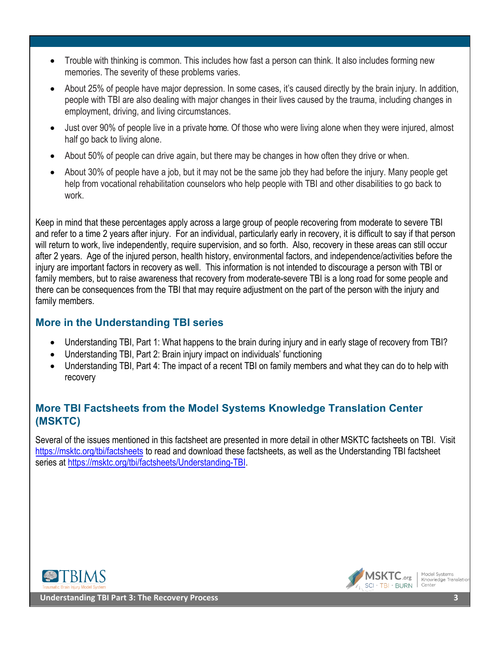- Trouble with thinking is common. This includes how fast a person can think. It also includes forming new memories. The severity of these problems varies.
- About 25% of people have major depression. In some cases, it's caused directly by the brain injury. In addition, people with TBI are also dealing with major changes in their lives caused by the trauma, including changes in employment, driving, and living circumstances.
- Just over 90% of people live in a private home. Of those who were living alone when they were injured, almost half go back to living alone.
- About 50% of people can drive again, but there may be changes in how often they drive or when.
- About 30% of people have a job, but it may not be the same job they had before the injury. Many people get help from vocational rehabilitation counselors who help people with TBI and other disabilities to go back to work.

Keep in mind that these percentages apply across a large group of people recovering from moderate to severe TBI and refer to a time 2 years after injury. For an individual, particularly early in recovery, it is difficult to say if that person will return to work, live independently, require supervision, and so forth. Also, recovery in these areas can still occur after 2 years. Age of the injured person, health history, environmental factors, and independence/activities before the injury are important factors in recovery as well. This information is not intended to discourage a person with TBI or family members, but to raise awareness that recovery from moderate-severe TBI is a long road for some people and there can be consequences from the TBI that may require adjustment on the part of the person with the injury and family members.

## **More in the Understanding TBI series**

- Understanding TBI, Part 1: What happens to the brain during injury and in early stage of recovery from TBI?
- Understanding TBI, Part 2: Brain injury impact on individuals' functioning
- Understanding TBI, Part 4: The impact of a recent TBI on family members and what they can do to help with recovery

# **More TBI Factsheets from the Model Systems Knowledge Translation Center (MSKTC)**

Several of the issues mentioned in this factsheet are presented in more detail in other MSKTC factsheets on TBI. Visit <https://msktc.org/tbi/factsheets> to read and download these factsheets, as well as the Understanding TBI factsheet series at [https://msktc.org/tbi/factsheets/Understanding-TBI.](https://msktc.org/tbi/factsheets/Understanding-TBI)